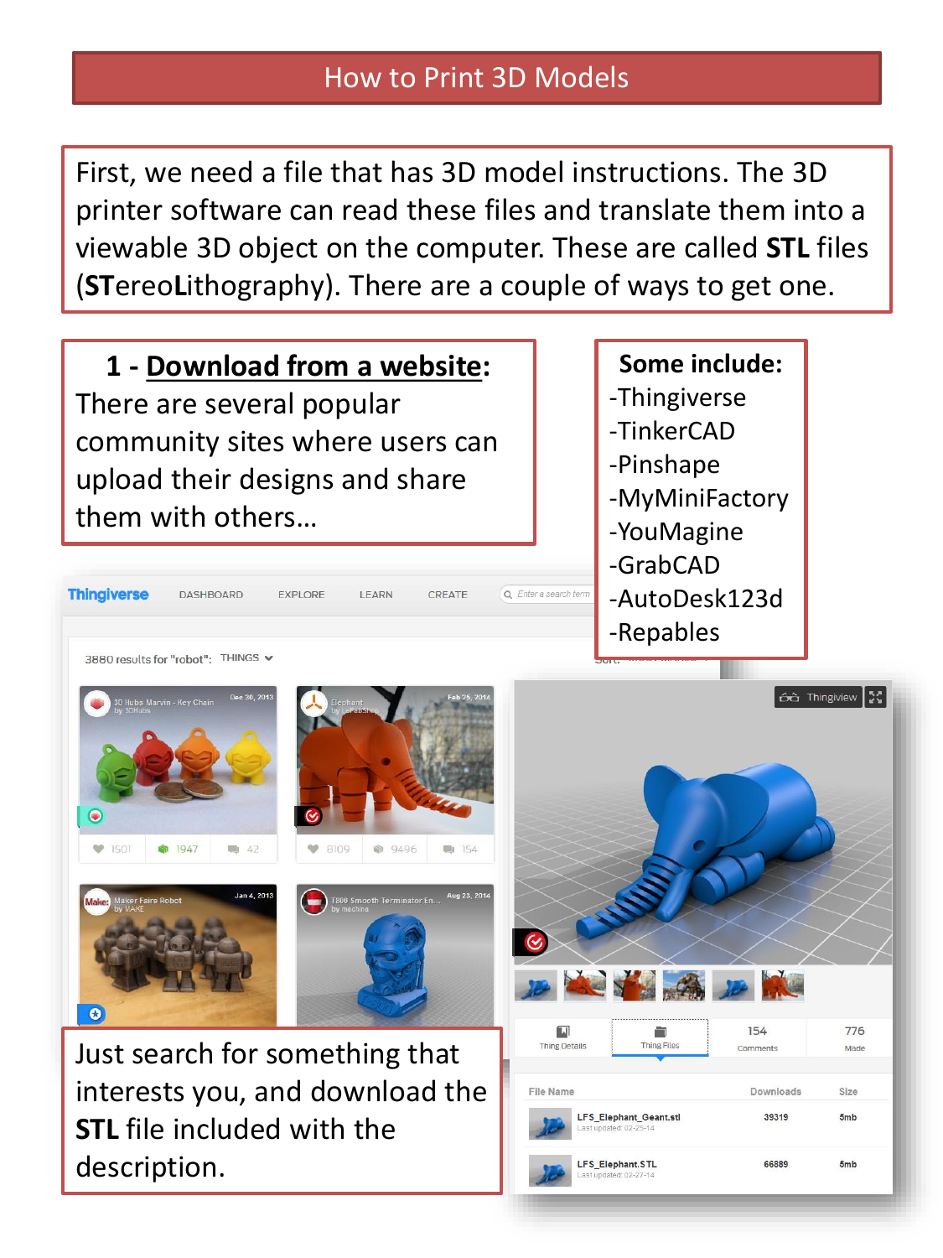## How to Print 3D Models

First, we need a file that has 3D model instructions. The 3D printer software can read these files and translate them into a viewable 3D object on the computer. These are called **STL** files (**ST**ereo**L**ithography). There are a couple of ways to get one.

**1 - Download from a website:** There are several popular community sites where users can upload their designs and share them with others…

**EXPLORE** 

## **Some include:** -Thingiverse -TinkerCAD -Pinshape -MyMiniFactory

- -YouMagine
- -GrabCAD
- -AutoDesk123d
- -Repables

3880 results for "robot": THINGS v

**DASHBOARD** 

**Thingiverse** 

 $\bigcirc$ 





**I FARN** 

CREATE

Q Enter a search term



Just search for something that interests you, and download the **STL** file included with the description.

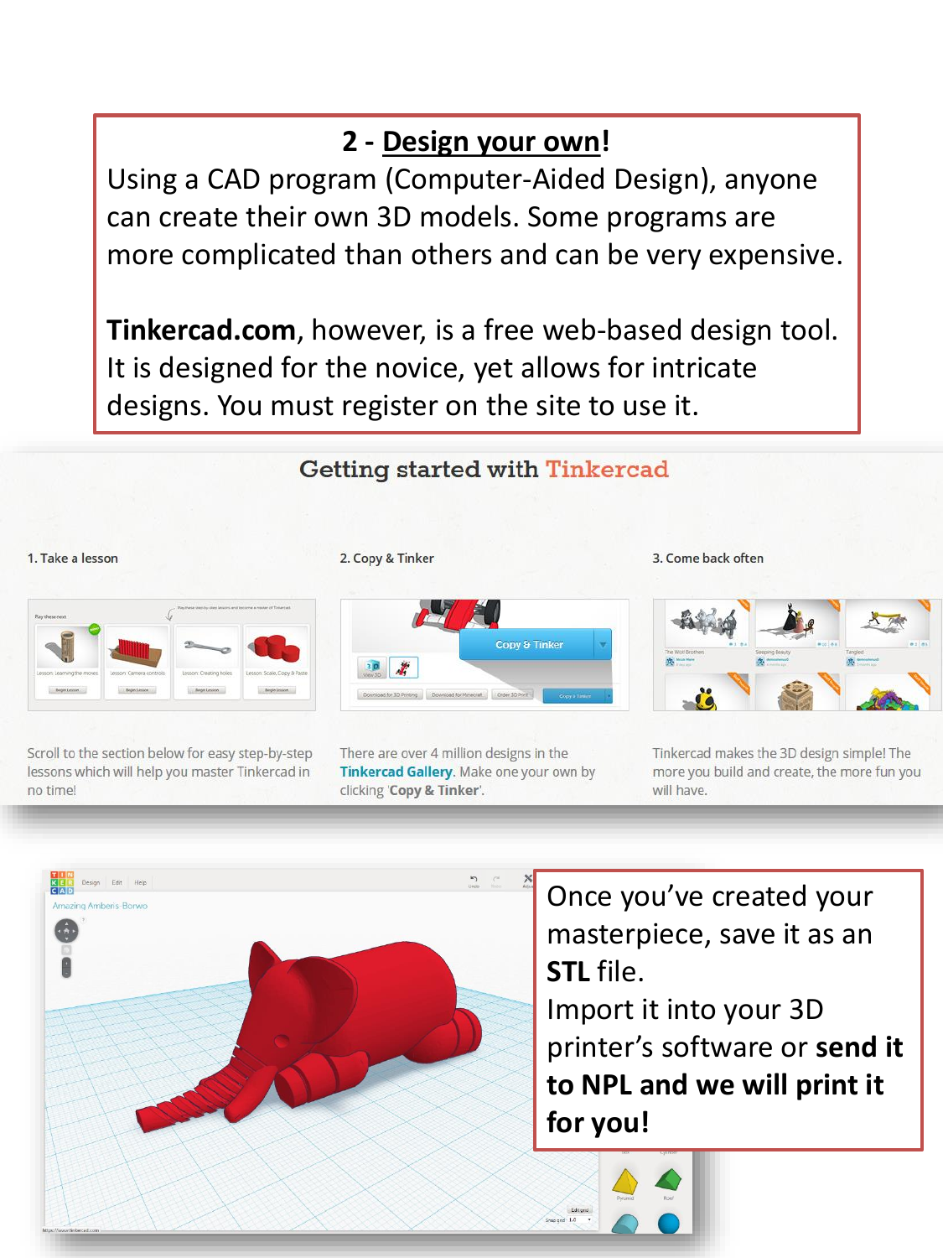## **2 - Design your own!**

Using a CAD program (Computer-Aided Design), anyone can create their own 3D models. Some programs are more complicated than others and can be very expensive.

**Tinkercad.com**, however, is a free web-based design tool. It is designed for the novice, yet allows for intricate designs. You must register on the site to use it.

## **Getting started with Tinkercad**





Scroll to the section below for easy step-by-step lessons which will help you master Tinkercad in no time!



2. Copy & Tinker

There are over 4 million designs in the Tinkercad Gallery. Make one your own by clicking 'Copy & Tinker'.

3. Come back often



Tinkercad makes the 3D design simple! The more you build and create, the more fun you will have.



Once you've created your masterpiece, save it as an **STL** file. Import it into your 3D printer's software or **send it to NPL and we will print it for you!**

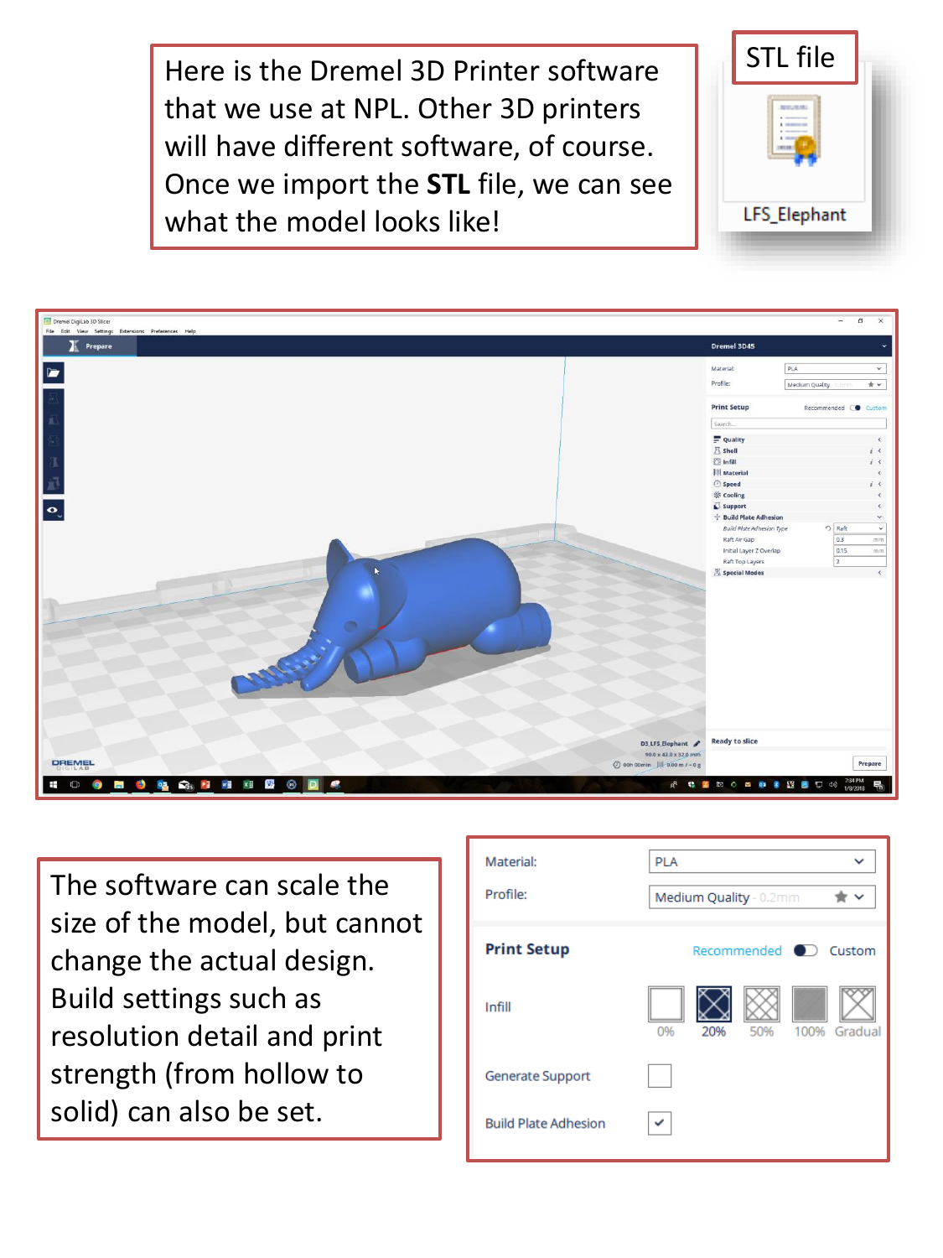Here is the Dremel 3D Printer software that we use at NPL. Other 3D printers will have different software, of course. Once we import the **STL** file, we can see what the model looks like!





The software can scale the size of the model, but cannot change the actual design. Build settings such as resolution detail and print strength (from hollow to solid) can also be set.

| Material:                   | <b>PLA</b>                            |
|-----------------------------|---------------------------------------|
| Profile:                    | Medium Quality - 0.2mm<br>$\check{ }$ |
| <b>Print Setup</b>          | Recommended <b>O</b> Custom           |
| Infill                      | 100% Gradual<br>50%<br>0%<br>20%      |
| <b>Generate Support</b>     |                                       |
| <b>Build Plate Adhesion</b> |                                       |